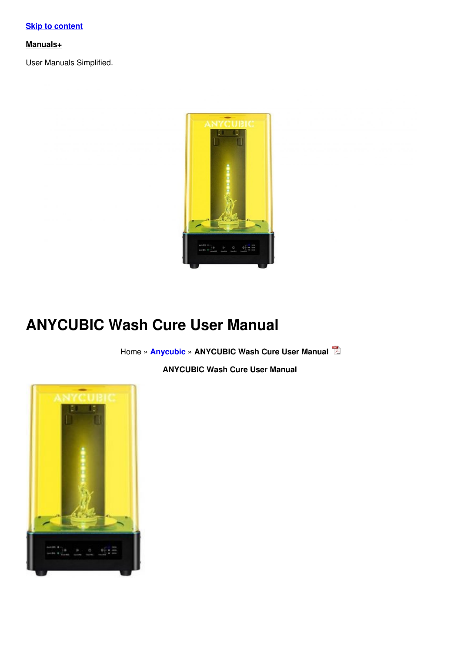**Skip to [content](#page-7-0)**

#### **[Manuals+](https://manuals.plus/)**

User Manuals Simplified.



# **ANYCUBIC Wash Cure User Manual**

Home » **[Anycubic](https://manuals.plus/category/anycubic)** » **ANYCUBIC Wash Cure User Manual**

**ANYCUBIC Wash Cure User Manual**

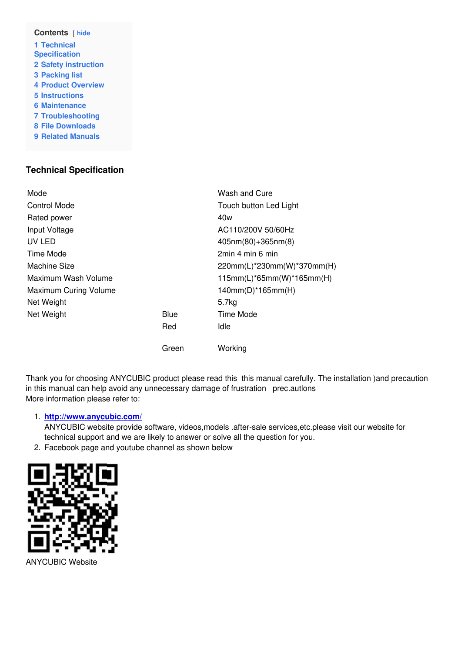| Contents [ hide             |  |  |
|-----------------------------|--|--|
| 1 Technical                 |  |  |
| <b>Specification</b>        |  |  |
| <b>2 Safety instruction</b> |  |  |
| <b>3 Packing list</b>       |  |  |
| <b>4 Product Overview</b>   |  |  |
| <b>5</b> Instructions       |  |  |
| 6 Maintenance               |  |  |
| <b>7 Troubleshooting</b>    |  |  |
| <b>8 File Downloads</b>     |  |  |
| <b>9 Related Manuals</b>    |  |  |
|                             |  |  |

# <span id="page-1-0"></span>**Technical Specification**

| Mode                  |             | Wash and Cure                |
|-----------------------|-------------|------------------------------|
| Control Mode          |             | Touch button Led Light       |
| Rated power           |             | 40w                          |
| Input Voltage         |             | AC110/200V 50/60Hz           |
| UV LED                |             | $405$ nm $(80)+365$ nm $(8)$ |
| Time Mode             |             | 2min 4 min 6 min             |
| Machine Size          |             | 220mm(L)*230mm(W)*370mm(H)   |
| Maximum Wash Volume   |             | $115mm(L)*65mm(W)*165mm(H)$  |
| Maximum Curing Volume |             | $140mm(D)*165mm(H)$          |
| Net Weight            |             | 5.7 <sub>kq</sub>            |
| Net Weight            | <b>Blue</b> | Time Mode                    |
|                       | Red         | Idle                         |
|                       | Green       | Working                      |

Thank you for choosing ANYCUBIC product please read this this manual carefully. The installation )and precaution in this manual can help avoid any unnecessary damage of frustration prec.autlons More information please refer to:

#### 1. **<http://www.anycubic.com/>**

ANYCUBIC website provide software, videos,models .after-sale services,etc.please visit our website for technical support and we are likely to answer or solve all the question for you.

2. Facebook page and youtube channel as shown below



ANYCUBIC Website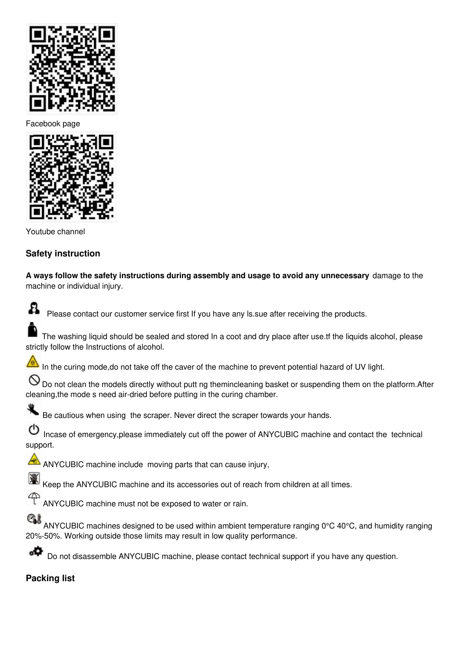

Facebook page



Youtube channel

## <span id="page-2-0"></span>**Safety instruction**

**A ways follow the safety instructions during assembly and usage to avoid any unnecessary** damage to the machine or individual injury.



Please contact our customer service first If you have any ls.sue after receiving the products.

The washing liquid should be sealed and stored In a coot and dry place after use.tf the liquids alcohol, please strictly follow the Instructions of alcohol.

⚠ In the curing mode,do not take off the caver of the machine to prevent potential hazard of UV light.

 $\bigcirc$  Do not clean the models directly without putt ng themincleaning basket or suspending them on the platform.After cleaning,the mode s need air-dried before putting in the curing chamber.



Be cautious when using the scraper. Never direct the scraper towards your hands.

ტ Incase of emergency,please immediately cut off the power of ANYCUBIC machine and contact the technical support.

AN ANYCUBIC machine include moving parts that can cause injury,

Keep the ANYCUBIC machine and its accessories out of reach from children at all times.

ANYCUBIC machine must not be exposed to water or rain.

QI ANYCUBIC machines designed to be used within ambient temperature ranging 0°C 40°C, and humidity ranging 20%-50%. Working outside those limits may result in low quality performance.

Do not disassemble ANYCUBIC machine, please contact technical support if you have any question.

## <span id="page-2-1"></span>**Packing list**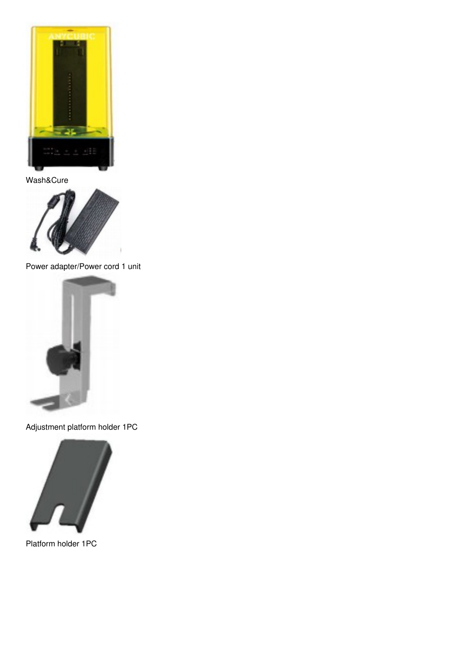

Wash&Cure



Power adapter/Power cord 1 unit



Adjustment platform holder 1PC



Platform holder 1PC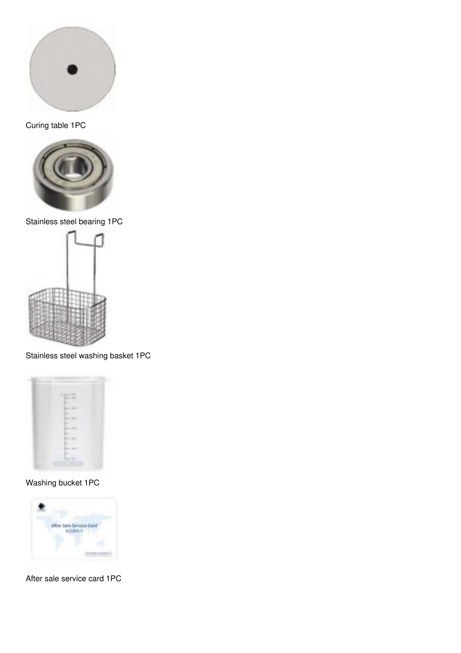

Curing table 1PC



Stainless steel bearing 1PC



Stainless steel washing basket 1PC



Washing bucket 1PC



After sale service card 1PC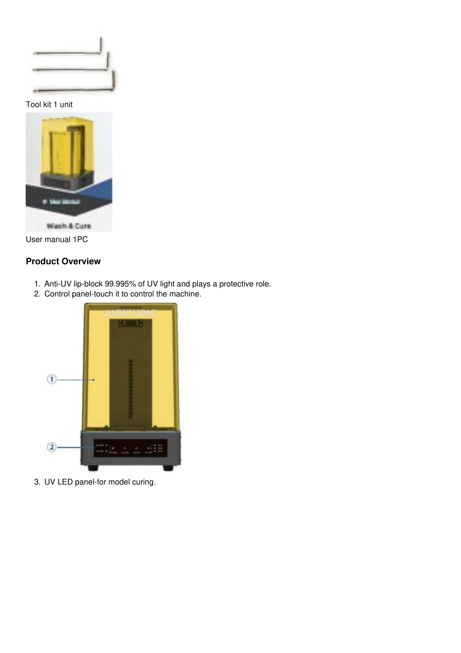

Tool kit 1 unit



User manual 1PC

## <span id="page-5-0"></span>**Product Overview**

- 1. Anti-UV lip-block 99.995% of UV light and plays a protective role.
- 2. Control panel-touch it to control the machine.



3. UV LED panel-for model curing.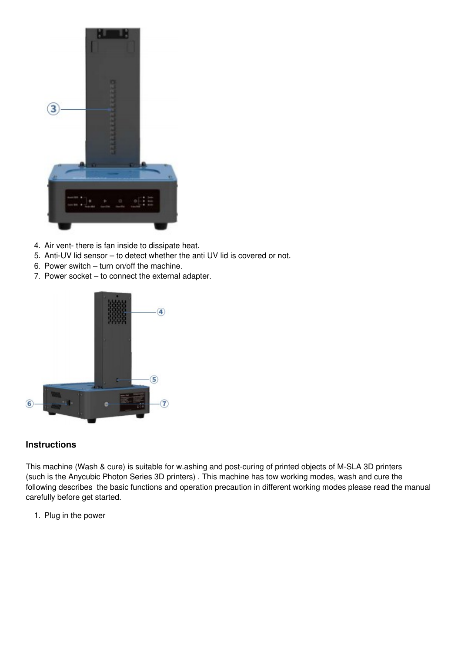

- 4. Air vent- there is fan inside to dissipate heat.
- 5. Anti-UV lid sensor to detect whether the anti UV lid is covered or not.
- 6. Power switch turn on/off the machine.
- 7. Power socket to connect the external adapter.



## <span id="page-6-0"></span>**Instructions**

This machine (Wash & cure) is suitable for w.ashing and post-curing of printed objects of M-SLA 3D printers (such is the Anycubic Photon Series 3D printers) . This machine has tow working modes, wash and cure the following describes the basic functions and operation precaution in different working modes please read the manual carefully before get started.

1. Plug in the power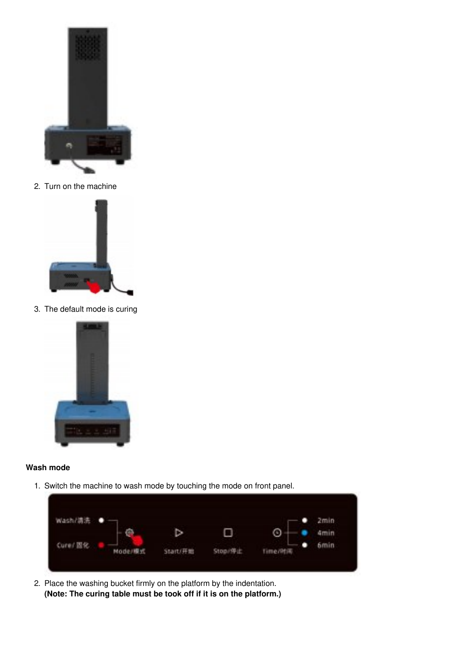<span id="page-7-0"></span>

2. Turn on the machine



3. The default mode is curing



#### **Wash mode**

1. Switch the machine to wash mode by touching the mode on front panel.



2. Place the washing bucket firmly on the platform by the indentation. **(Note: The curing table must be took off if it is on the platform.)**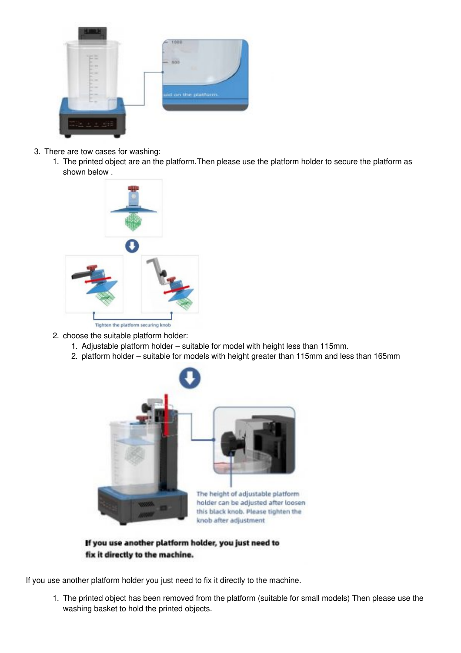

- 3. There are tow cases for washing:
	- 1. The printed object are an the platform.Then please use the platform holder to secure the platform as shown below .



- 2. choose the suitable platform holder:
	- 1. Adjustable platform holder suitable for model with height less than 115mm.
	- 2. platform holder suitable for models with height greater than 115mm and less than 165mm



If you use another platform holder, you just need to fix it directly to the machine.

If you use another platform holder you just need to fix it directly to the machine.

1. The printed object has been removed from the platform (suitable for small models) Then please use the washing basket to hold the printed objects.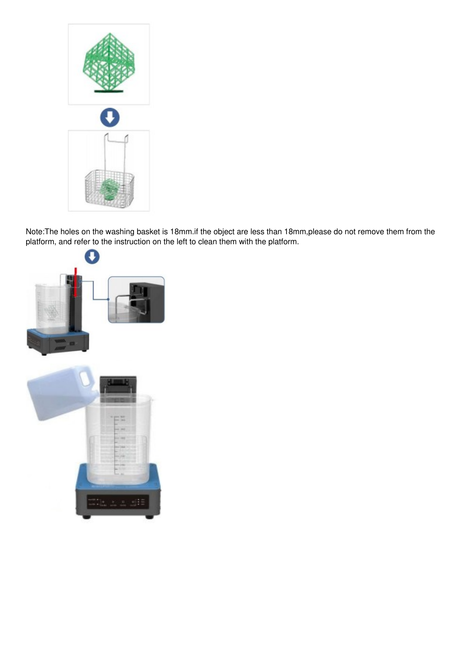

Note:The holes on the washing basket is 18mm.if the object are less than 18mm,please do not remove them from the platform, and refer to the instruction on the left to clean them with the platform.

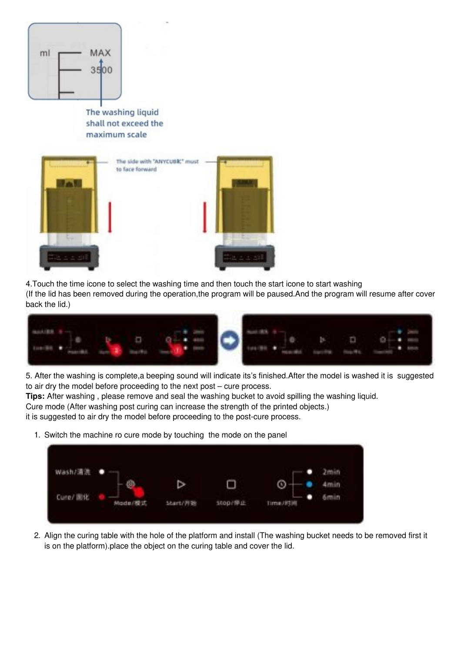

The washing liquid shall not exceed the maximum scale



4.Touch the time icone to select the washing time and then touch the start icone to start washing

(If the lid has been removed during the operation,the program will be paused.And the program will resume after cover back the lid.)



5. After the washing is complete,a beeping sound will indicate its's finished.After the model is washed it is suggested to air dry the model before proceeding to the next post – cure process.

**Tips:** After washing , please remove and seal the washing bucket to avoid spilling the washing liquid.

Cure mode (After washing post curing can increase the strength of the printed objects.)

it is suggested to air dry the model before proceeding to the post-cure process.

1. Switch the machine ro cure mode by touching the mode on the panel



2. Align the curing table with the hole of the platform and install (The washing bucket needs to be removed first it is on the platform).place the object on the curing table and cover the lid.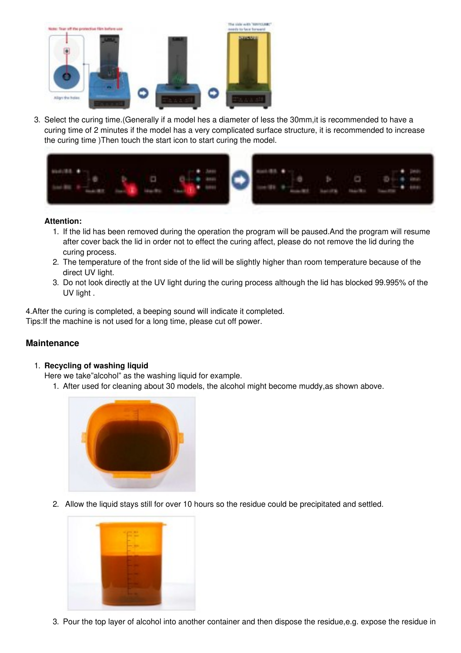

3. Select the curing time.(Generally if a model hes a diameter of less the 30mm,it is recommended to have a curing time of 2 minutes if the model has a very complicated surface structure, it is recommended to increase the curing time )Then touch the start icon to start curing the model.



#### **Attention:**

- 1. If the lid has been removed during the operation the program will be paused.And the program will resume after cover back the lid in order not to effect the curing affect, please do not remove the lid during the curing process.
- 2. The temperature of the front side of the lid will be slightly higher than room temperature because of the direct UV light.
- 3. Do not look directly at the UV light during the curing process although the lid has blocked 99.995% of the UV light .

4.After the curing is completed, a beeping sound will indicate it completed. Tips:If the machine is not used for a long time, please cut off power.

#### <span id="page-11-0"></span>**Maintenance**

#### 1. **Recycling of washing liquid**

Here we take"alcohol" as the washing liquid for example.

1. After used for cleaning about 30 models, the alcohol might become muddy,as shown above.



2. Allow the liquid stays still for over 10 hours so the residue could be precipitated and settled.



3. Pour the top layer of alcohol into another container and then dispose the residue,e.g. expose the residue in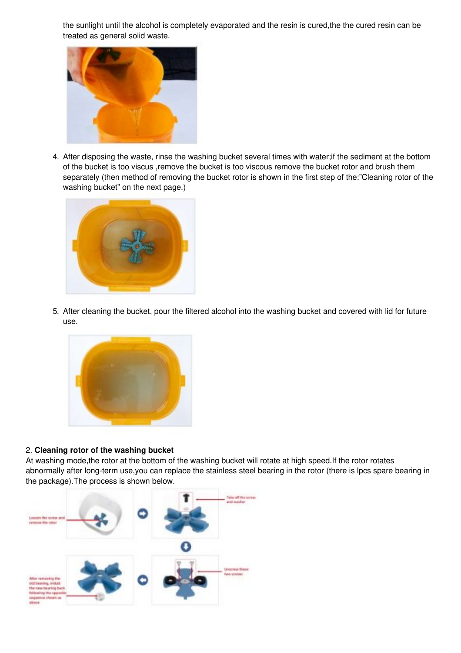the sunlight until the alcohol is completely evaporated and the resin is cured,the the cured resin can be treated as general solid waste.



4. After disposing the waste, rinse the washing bucket several times with water;if the sediment at the bottom of the bucket is too viscus ,remove the bucket is too viscous remove the bucket rotor and brush them separately (then method of removing the bucket rotor is shown in the first step of the:"Cleaning rotor of the washing bucket" on the next page.)



5. After cleaning the bucket, pour the filtered alcohol into the washing bucket and covered with lid for future use.



#### 2. **Cleaning rotor of the washing bucket**

At washing mode,the rotor at the bottom of the washing bucket will rotate at high speed.If the rotor rotates abnormally after long-term use,you can replace the stainless steel bearing in the rotor (there is lpcs spare bearing in the package).The process is shown below.